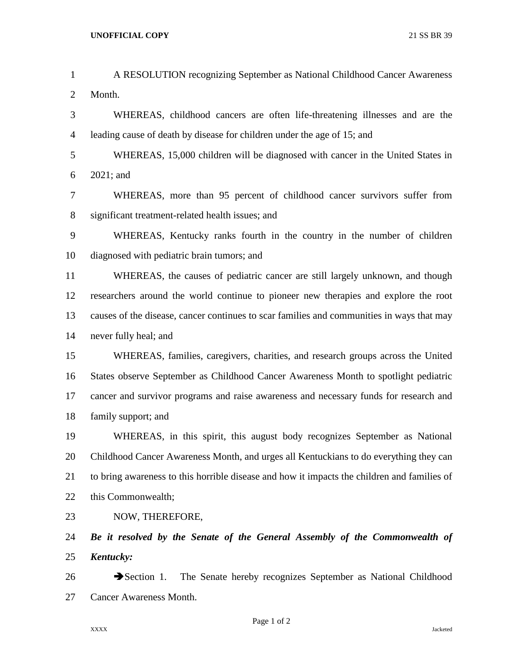| $\mathbf{1}$   | A RESOLUTION recognizing September as National Childhood Cancer Awareness                   |
|----------------|---------------------------------------------------------------------------------------------|
| $\overline{2}$ | Month.                                                                                      |
| 3              | WHEREAS, childhood cancers are often life-threatening illnesses and are the                 |
| $\overline{4}$ | leading cause of death by disease for children under the age of 15; and                     |
| 5              | WHEREAS, 15,000 children will be diagnosed with cancer in the United States in              |
| 6              | $2021$ ; and                                                                                |
| $\tau$         | WHEREAS, more than 95 percent of childhood cancer survivors suffer from                     |
| 8              | significant treatment-related health issues; and                                            |
| 9              | WHEREAS, Kentucky ranks fourth in the country in the number of children                     |
| 10             | diagnosed with pediatric brain tumors; and                                                  |
| 11             | WHEREAS, the causes of pediatric cancer are still largely unknown, and though               |
| 12             | researchers around the world continue to pioneer new therapies and explore the root         |
| 13             | causes of the disease, cancer continues to scar families and communities in ways that may   |
| 14             | never fully heal; and                                                                       |
| 15             | WHEREAS, families, caregivers, charities, and research groups across the United             |
| 16             | States observe September as Childhood Cancer Awareness Month to spotlight pediatric         |
| 17             | cancer and survivor programs and raise awareness and necessary funds for research and       |
| 18             | family support; and                                                                         |
| 19             | WHEREAS, in this spirit, this august body recognizes September as National                  |
| 20             | Childhood Cancer Awareness Month, and urges all Kentuckians to do everything they can       |
| 21             | to bring awareness to this horrible disease and how it impacts the children and families of |
| 22             | this Commonwealth;                                                                          |
| 23             | NOW, THEREFORE,                                                                             |
| 24             | Be it resolved by the Senate of the General Assembly of the Commonwealth of                 |
| 25             | Kentucky:                                                                                   |
| 26             | The Senate hereby recognizes September as National Childhood<br>$\rightarrow$ Section 1.    |
| 27             | Cancer Awareness Month.                                                                     |

Page 1 of 2